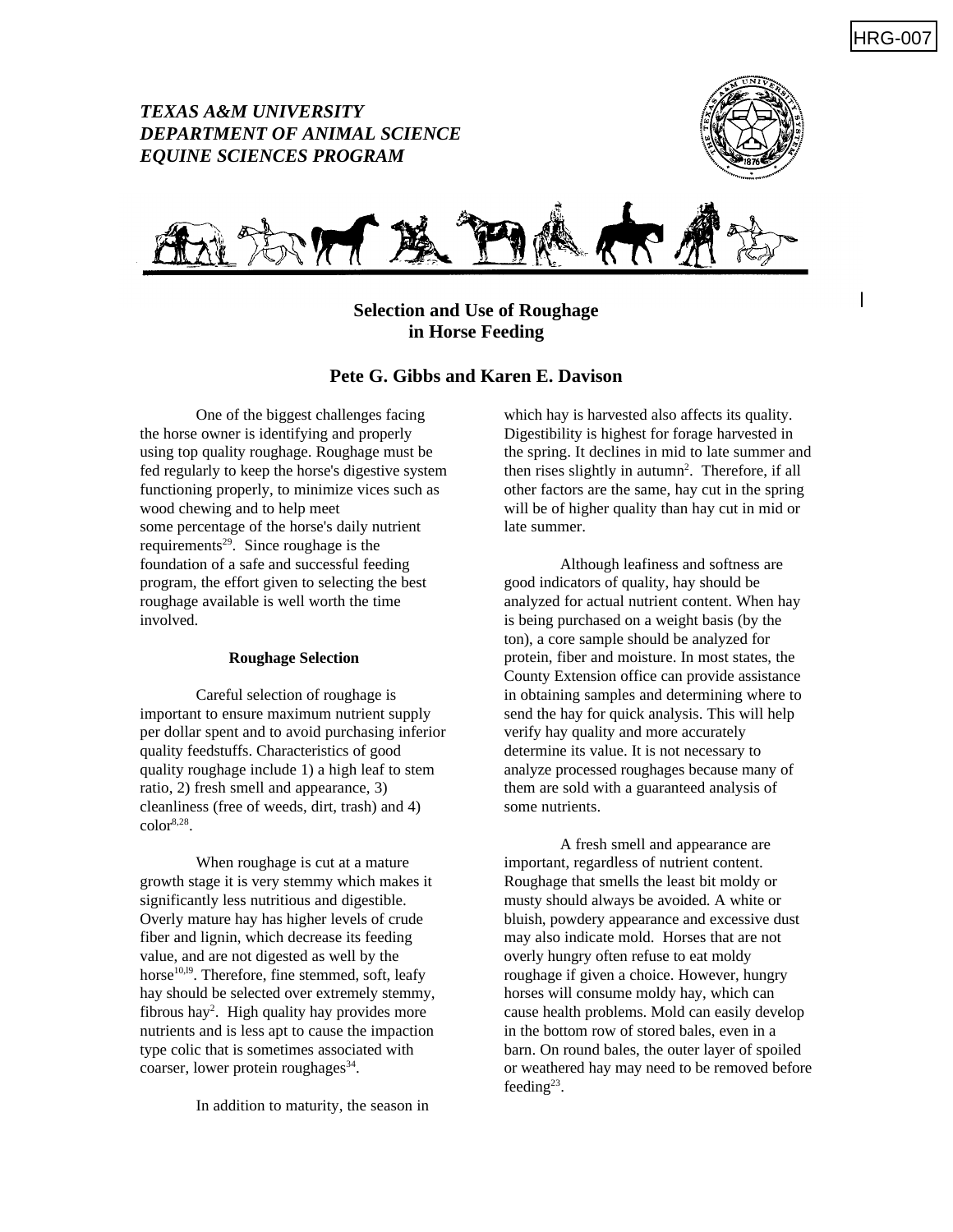# *TEXAS A&M UNIVERSITY DEPARTMENT OF ANIMAL SCIENCE EQUINE SCIENCES PROGRAM*





# **Selection and Use of Roughage in Horse Feeding**

## **Pete G. Gibbs and Karen E. Davison**

One of the biggest challenges facing the horse owner is identifying and properly using top quality roughage. Roughage must be fed regularly to keep the horse's digestive system functioning properly, to minimize vices such as wood chewing and to help meet some percentage of the horse's daily nutrient requirements<sup>29</sup>. Since roughage is the foundation of a safe and successful feeding program, the effort given to selecting the best roughage available is well worth the time involved.

#### **Roughage Selection**

Careful selection of roughage is important to ensure maximum nutrient supply per dollar spent and to avoid purchasing inferior quality feedstuffs. Characteristics of good quality roughage include 1) a high leaf to stem ratio, 2) fresh smell and appearance, 3) cleanliness (free of weeds, dirt, trash) and 4)  $color<sub>8,28</sub>$ .

When roughage is cut at a mature growth stage it is very stemmy which makes it significantly less nutritious and digestible. Overly mature hay has higher levels of crude fiber and lignin, which decrease its feeding value, and are not digested as well by the horse $10,19$ . Therefore, fine stemmed, soft, leafy hay should be selected over extremely stemmy, fibrous hay<sup>2</sup>. High quality hay provides more nutrients and is less apt to cause the impaction type colic that is sometimes associated with coarser, lower protein roughages<sup>34</sup>.

In addition to maturity, the season in

which hay is harvested also affects its quality. Digestibility is highest for forage harvested in the spring. It declines in mid to late summer and then rises slightly in autumn<sup>2</sup>. Therefore, if all other factors are the same, hay cut in the spring will be of higher quality than hay cut in mid or late summer.

Although leafiness and softness are good indicators of quality, hay should be analyzed for actual nutrient content. When hay is being purchased on a weight basis (by the ton), a core sample should be analyzed for protein, fiber and moisture. In most states, the County Extension office can provide assistance in obtaining samples and determining where to send the hay for quick analysis. This will help verify hay quality and more accurately determine its value. It is not necessary to analyze processed roughages because many of them are sold with a guaranteed analysis of some nutrients.

A fresh smell and appearance are important, regardless of nutrient content. Roughage that smells the least bit moldy or musty should always be avoided. A white or bluish, powdery appearance and excessive dust may also indicate mold. Horses that are not overly hungry often refuse to eat moldy roughage if given a choice. However, hungry horses will consume moldy hay, which can cause health problems. Mold can easily develop in the bottom row of stored bales, even in a barn. On round bales, the outer layer of spoiled or weathered hay may need to be removed before feeding $23$ .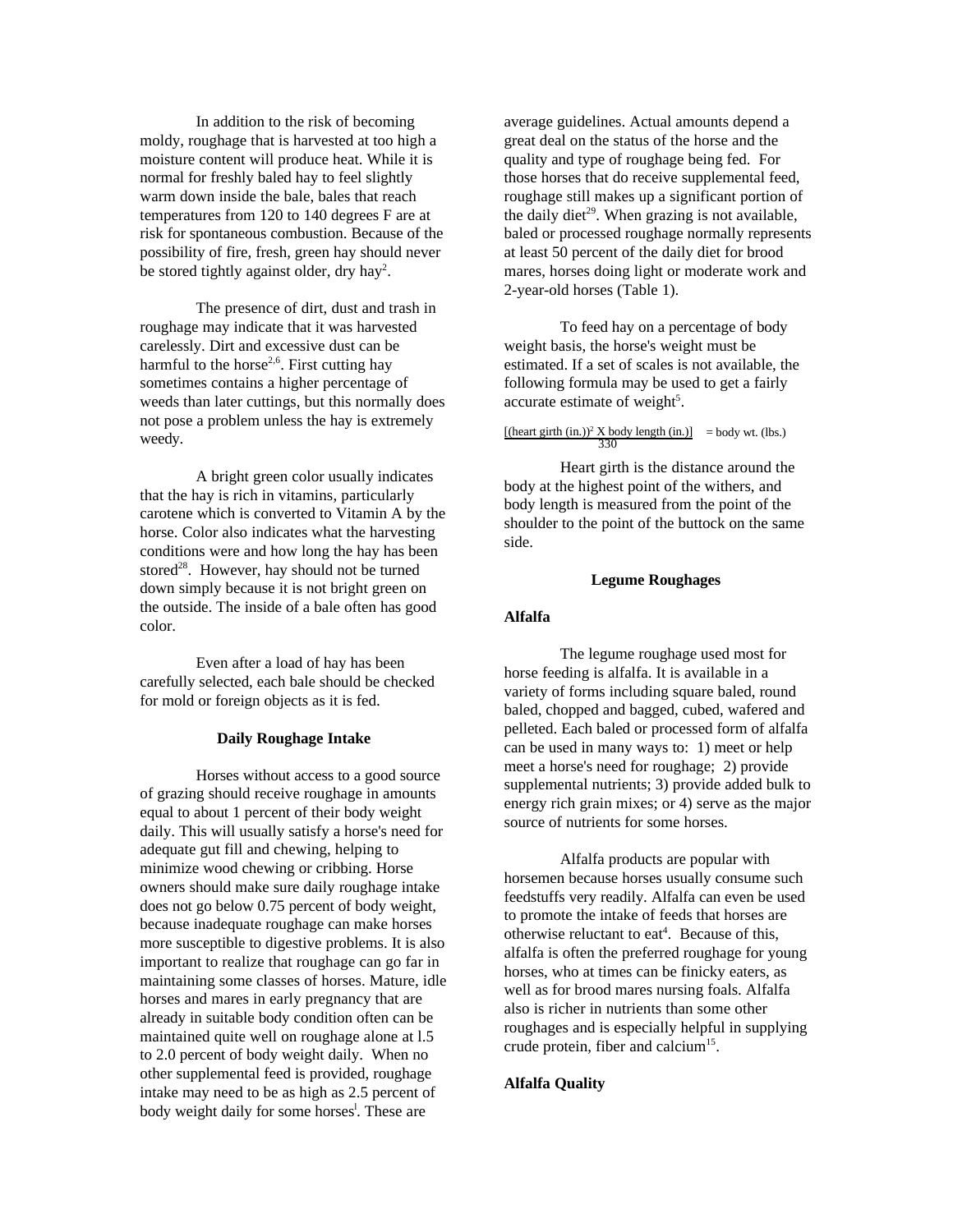In addition to the risk of becoming moldy, roughage that is harvested at too high a moisture content will produce heat. While it is normal for freshly baled hay to feel slightly warm down inside the bale, bales that reach temperatures from 120 to 140 degrees F are at risk for spontaneous combustion. Because of the possibility of fire, fresh, green hay should never be stored tightly against older, dry hay<sup>2</sup>.

The presence of dirt, dust and trash in roughage may indicate that it was harvested carelessly. Dirt and excessive dust can be harmful to the horse<sup>2,6</sup>. First cutting hay sometimes contains a higher percentage of weeds than later cuttings, but this normally does not pose a problem unless the hay is extremely weedy.

A bright green color usually indicates that the hay is rich in vitamins, particularly carotene which is converted to Vitamin A by the horse. Color also indicates what the harvesting conditions were and how long the hay has been stored<sup>28</sup>. However, hay should not be turned down simply because it is not bright green on the outside. The inside of a bale often has good color.

Even after a load of hay has been carefully selected, each bale should be checked for mold or foreign objects as it is fed.

#### **Daily Roughage Intake**

Horses without access to a good source of grazing should receive roughage in amounts equal to about 1 percent of their body weight daily. This will usually satisfy a horse's need for adequate gut fill and chewing, helping to minimize wood chewing or cribbing. Horse owners should make sure daily roughage intake does not go below 0.75 percent of body weight, because inadequate roughage can make horses more susceptible to digestive problems. It is also important to realize that roughage can go far in maintaining some classes of horses. Mature, idle horses and mares in early pregnancy that are already in suitable body condition often can be maintained quite well on roughage alone at l.5 to 2.0 percent of body weight daily. When no other supplemental feed is provided, roughage intake may need to be as high as 2.5 percent of body weight daily for some horses<sup>1</sup>. These are

average guidelines. Actual amounts depend a great deal on the status of the horse and the quality and type of roughage being fed. For those horses that do receive supplemental feed, roughage still makes up a significant portion of the daily diet<sup>29</sup>. When grazing is not available, baled or processed roughage normally represents at least 50 percent of the daily diet for brood mares, horses doing light or moderate work and 2-year-old horses (Table 1).

To feed hay on a percentage of body weight basis, the horse's weight must be estimated. If a set of scales is not available, the following formula may be used to get a fairly accurate estimate of weight<sup>5</sup>.

# $\frac{[(\text{heart girth (in.)})^2 \text{ X body length (in.)]}}{330}$  = body wt. (lbs.)

Heart girth is the distance around the body at the highest point of the withers, and body length is measured from the point of the shoulder to the point of the buttock on the same side.

#### **Legume Roughages**

### **Alfalfa**

The legume roughage used most for horse feeding is alfalfa. It is available in a variety of forms including square baled, round baled, chopped and bagged, cubed, wafered and pelleted. Each baled or processed form of alfalfa can be used in many ways to: 1) meet or help meet a horse's need for roughage; 2) provide supplemental nutrients; 3) provide added bulk to energy rich grain mixes; or 4) serve as the major source of nutrients for some horses.

Alfalfa products are popular with horsemen because horses usually consume such feedstuffs very readily. Alfalfa can even be used to promote the intake of feeds that horses are otherwise reluctant to eat<sup>4</sup>. Because of this, alfalfa is often the preferred roughage for young horses, who at times can be finicky eaters, as well as for brood mares nursing foals. Alfalfa also is richer in nutrients than some other roughages and is especially helpful in supplying crude protein, fiber and calcium<sup>15</sup>.

### **Alfalfa Quality**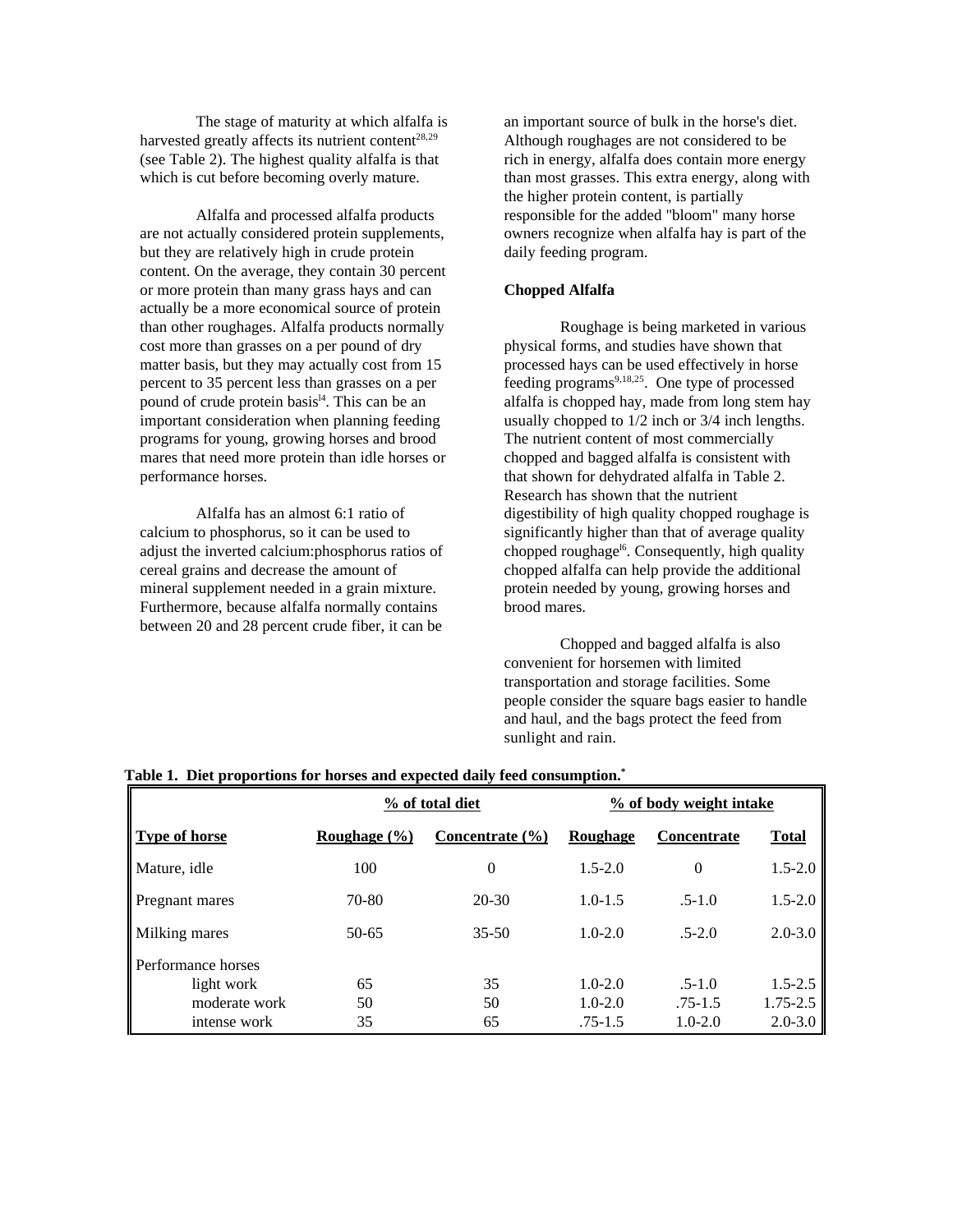The stage of maturity at which alfalfa is harvested greatly affects its nutrient content<sup>28,29</sup> (see Table 2). The highest quality alfalfa is that which is cut before becoming overly mature.

Alfalfa and processed alfalfa products are not actually considered protein supplements, but they are relatively high in crude protein content. On the average, they contain 30 percent or more protein than many grass hays and can actually be a more economical source of protein than other roughages. Alfalfa products normally cost more than grasses on a per pound of dry matter basis, but they may actually cost from 15 percent to 35 percent less than grasses on a per pound of crude protein basis<sup>14</sup>. This can be an important consideration when planning feeding programs for young, growing horses and brood mares that need more protein than idle horses or performance horses.

Alfalfa has an almost 6:1 ratio of calcium to phosphorus, so it can be used to adjust the inverted calcium:phosphorus ratios of cereal grains and decrease the amount of mineral supplement needed in a grain mixture. Furthermore, because alfalfa normally contains between 20 and 28 percent crude fiber, it can be

an important source of bulk in the horse's diet. Although roughages are not considered to be rich in energy, alfalfa does contain more energy than most grasses. This extra energy, along with the higher protein content, is partially responsible for the added "bloom" many horse owners recognize when alfalfa hay is part of the daily feeding program.

### **Chopped Alfalfa**

Roughage is being marketed in various physical forms, and studies have shown that processed hays can be used effectively in horse feeding programs $9,18,25$ . One type of processed alfalfa is chopped hay, made from long stem hay usually chopped to 1/2 inch or 3/4 inch lengths. The nutrient content of most commercially chopped and bagged alfalfa is consistent with that shown for dehydrated alfalfa in Table 2. Research has shown that the nutrient digestibility of high quality chopped roughage is significantly higher than that of average quality chopped roughage<sup>16</sup>. Consequently, high quality chopped alfalfa can help provide the additional protein needed by young, growing horses and brood mares.

Chopped and bagged alfalfa is also convenient for horsemen with limited transportation and storage facilities. Some people consider the square bags easier to handle and haul, and the bags protect the feed from sunlight and rain.

|                      | % of total diet          |                     | % of body weight intake |                    |              |
|----------------------|--------------------------|---------------------|-------------------------|--------------------|--------------|
| <b>Type of horse</b> | Roughage $(\frac{6}{6})$ | Concentrate $(\% )$ | <b>Roughage</b>         | <b>Concentrate</b> | <b>Total</b> |
| Mature, idle         | 100                      | $\theta$            | $1.5 - 2.0$             | $\theta$           | $1.5 - 2.0$  |
| Pregnant mares       | 70-80                    | $20 - 30$           | $1.0 - 1.5$             | $.5 - 1.0$         | $1.5 - 2.0$  |
| <b>Milking mares</b> | $50 - 65$                | $35 - 50$           | $1.0 - 2.0$             | $.5 - 2.0$         | $2.0 - 3.0$  |
| Performance horses   |                          |                     |                         |                    |              |
| light work           | 65                       | 35                  | $1.0 - 2.0$             | $.5 - 1.0$         | $1.5 - 2.5$  |
| moderate work        | 50                       | 50                  | $1.0 - 2.0$             | $.75 - 1.5$        | 1.75-2.5     |
| intense work         | 35                       | 65                  | $.75 - 1.5$             | $1.0 - 2.0$        | $2.0 - 3.0$  |

#### **Table 1. Diet proportions for horses and expected daily feed consumption.\***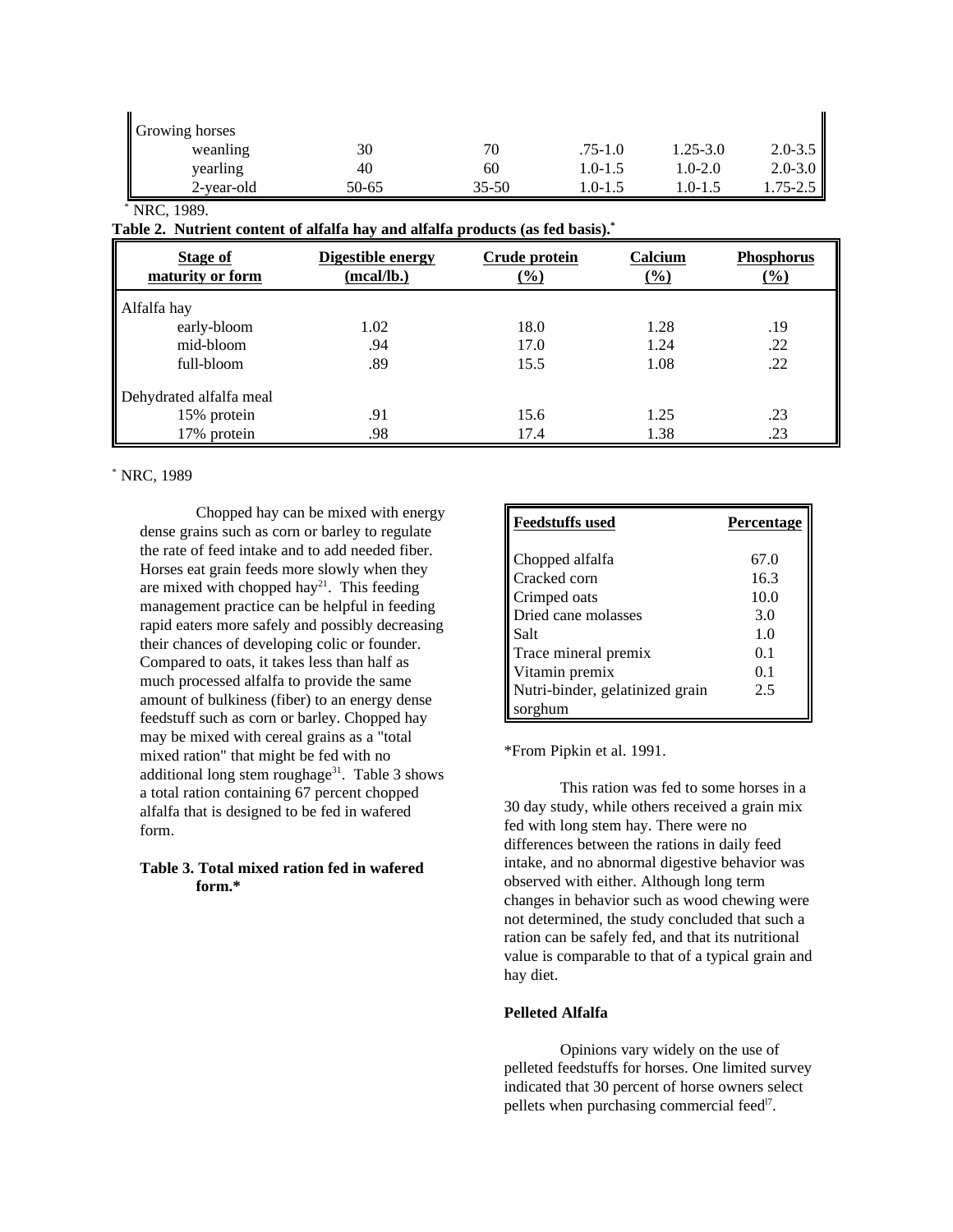| Growing horses |       |           |             |             |             |
|----------------|-------|-----------|-------------|-------------|-------------|
| weanling       | 30    | 70        | $.75 - 1.0$ | 1.25-3.0    | $2.0 - 3.5$ |
| yearling       | 40    | 60        | 1.0-1.5     | $1.0 - 2.0$ | $2.0 - 3.0$ |
| 2-year-old     | 50-65 | $35 - 50$ | 1.0-1.5     | $0 - 1.5$   | .75-2.5     |

### \* NRC, 1989.

**Table 2. Nutrient content of alfalfa hay and alfalfa products (as fed basis).\***

| Stage of<br>maturity or form | Digestible energy<br>(mcal/lb.) | Crude protein<br>(%) | Calcium<br>$\frac{0}{0}$ | <b>Phosphorus</b><br>$(\%)$ |
|------------------------------|---------------------------------|----------------------|--------------------------|-----------------------------|
| Alfalfa hay                  |                                 |                      |                          |                             |
| early-bloom                  | 1.02                            | 18.0                 | 1.28                     | .19                         |
| mid-bloom                    | .94                             | 17.0                 | 1.24                     | .22                         |
| full-bloom                   | .89                             | 15.5                 | 1.08                     | .22                         |
| Dehydrated alfalfa meal      |                                 |                      |                          |                             |
| 15% protein                  | .91                             | 15.6                 | 1.25                     | .23                         |
| 17% protein                  | .98                             | 17.4                 | 1.38                     | .23                         |

### \* NRC, 1989

Chopped hay can be mixed with energy dense grains such as corn or barley to regulate the rate of feed intake and to add needed fiber. Horses eat grain feeds more slowly when they are mixed with chopped hay<sup>21</sup>. This feeding management practice can be helpful in feeding rapid eaters more safely and possibly decreasing their chances of developing colic or founder. Compared to oats, it takes less than half as much processed alfalfa to provide the same amount of bulkiness (fiber) to an energy dense feedstuff such as corn or barley. Chopped hay may be mixed with cereal grains as a "total mixed ration" that might be fed with no additional long stem roughage $31$ . Table 3 shows a total ration containing 67 percent chopped alfalfa that is designed to be fed in wafered form.

### **Table 3. Total mixed ration fed in wafered form.\***

| <b>Feedstuffs used</b>          | Percentage |
|---------------------------------|------------|
| Chopped alfalfa                 | 67.0       |
| Cracked corn                    | 16.3       |
| Crimped oats                    | 10.0       |
| Dried cane molasses             | 3.0        |
| Salt                            | 1.0        |
| Trace mineral premix            | 0.1        |
| Vitamin premix                  | 0.1        |
| Nutri-binder, gelatinized grain | 2.5        |
| sorghum                         |            |

\*From Pipkin et al. 1991.

This ration was fed to some horses in a 30 day study, while others received a grain mix fed with long stem hay. There were no differences between the rations in daily feed intake, and no abnormal digestive behavior was observed with either. Although long term changes in behavior such as wood chewing were not determined, the study concluded that such a ration can be safely fed, and that its nutritional value is comparable to that of a typical grain and hay diet.

### **Pelleted Alfalfa**

Opinions vary widely on the use of pelleted feedstuffs for horses. One limited survey indicated that 30 percent of horse owners select pellets when purchasing commercial feed<sup>17</sup>.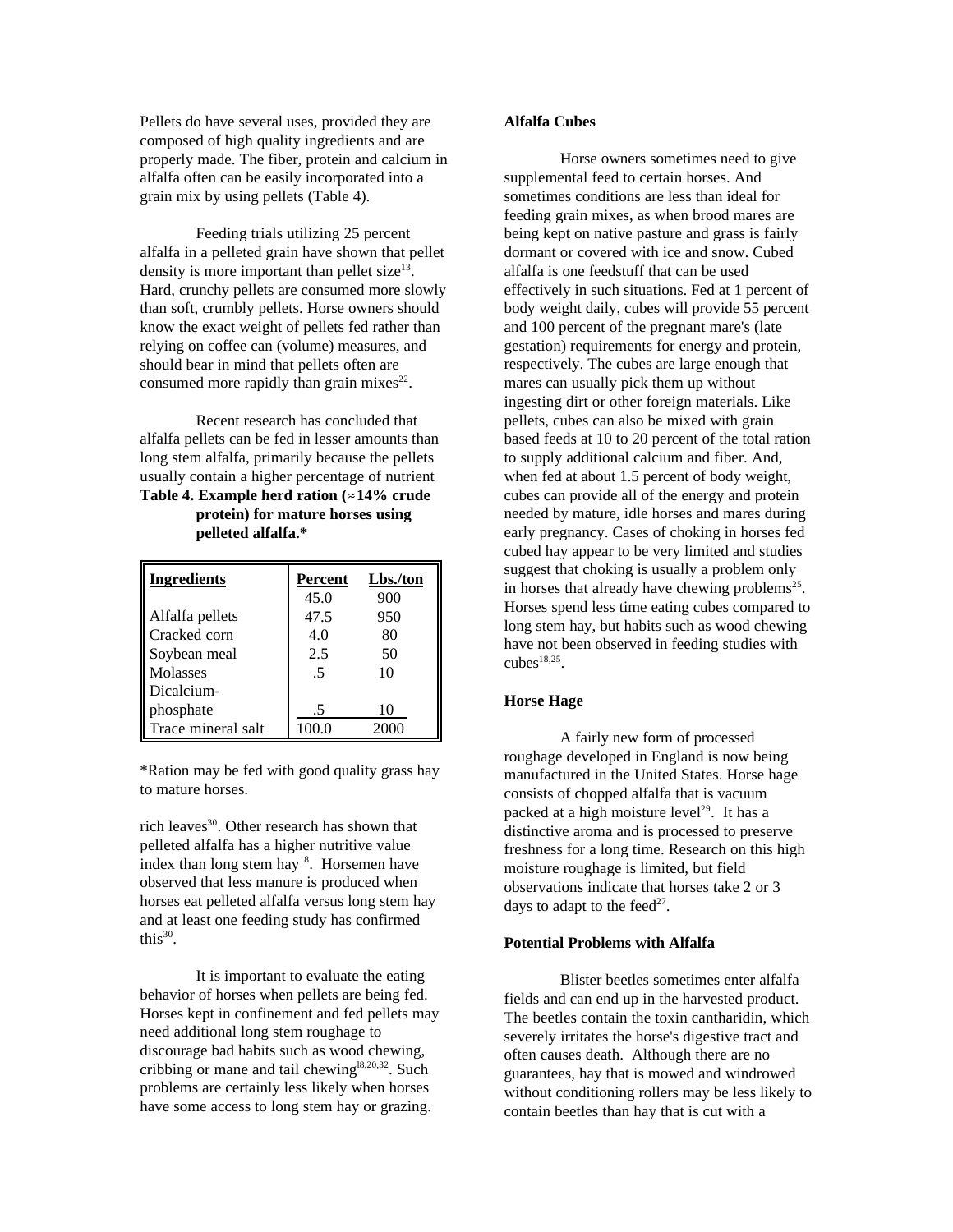Pellets do have several uses, provided they are composed of high quality ingredients and are properly made. The fiber, protein and calcium in alfalfa often can be easily incorporated into a grain mix by using pellets (Table 4).

Feeding trials utilizing 25 percent alfalfa in a pelleted grain have shown that pellet density is more important than pellet size $^{13}$ . Hard, crunchy pellets are consumed more slowly than soft, crumbly pellets. Horse owners should know the exact weight of pellets fed rather than relying on coffee can (volume) measures, and should bear in mind that pellets often are consumed more rapidly than grain mixes $^{22}$ .

Recent research has concluded that alfalfa pellets can be fed in lesser amounts than long stem alfalfa, primarily because the pellets usually contain a higher percentage of nutrient **Table 4. Example herd ration (**.**14% crude protein) for mature horses using pelleted alfalfa.\***

| <b>Ingredients</b> | Percent | Lbs./ton |
|--------------------|---------|----------|
|                    | 45.0    | 900      |
| Alfalfa pellets    | 47.5    | 950      |
| Cracked corn       | 4.0     | 80       |
| Soybean meal       | 2.5     | 50       |
| Molasses           | .5      | 10       |
| Dicalcium-         |         |          |
| phosphate          | .5      | 10       |
| Trace mineral salt | 100.0   | 2000     |

\*Ration may be fed with good quality grass hay to mature horses.

rich leaves<sup>30</sup>. Other research has shown that pelleted alfalfa has a higher nutritive value index than long stem hay<sup>18</sup>. Horsemen have observed that less manure is produced when horses eat pelleted alfalfa versus long stem hay and at least one feeding study has confirmed this $30$ .

It is important to evaluate the eating behavior of horses when pellets are being fed. Horses kept in confinement and fed pellets may need additional long stem roughage to discourage bad habits such as wood chewing, cribbing or mane and tail chewing<sup>18,20,32</sup>. Such problems are certainly less likely when horses have some access to long stem hay or grazing.

#### **Alfalfa Cubes**

Horse owners sometimes need to give supplemental feed to certain horses. And sometimes conditions are less than ideal for feeding grain mixes, as when brood mares are being kept on native pasture and grass is fairly dormant or covered with ice and snow. Cubed alfalfa is one feedstuff that can be used effectively in such situations. Fed at 1 percent of body weight daily, cubes will provide 55 percent and 100 percent of the pregnant mare's (late gestation) requirements for energy and protein, respectively. The cubes are large enough that mares can usually pick them up without ingesting dirt or other foreign materials. Like pellets, cubes can also be mixed with grain based feeds at 10 to 20 percent of the total ration to supply additional calcium and fiber. And, when fed at about 1.5 percent of body weight, cubes can provide all of the energy and protein needed by mature, idle horses and mares during early pregnancy. Cases of choking in horses fed cubed hay appear to be very limited and studies suggest that choking is usually a problem only in horses that already have chewing problems $25$ . Horses spend less time eating cubes compared to long stem hay, but habits such as wood chewing have not been observed in feeding studies with  $\text{cubes}^{18,25}$ .

### **Horse Hage**

A fairly new form of processed roughage developed in England is now being manufactured in the United States. Horse hage consists of chopped alfalfa that is vacuum packed at a high moisture level<sup>29</sup>. It has a distinctive aroma and is processed to preserve freshness for a long time. Research on this high moisture roughage is limited, but field observations indicate that horses take 2 or 3 days to adapt to the feed $2^7$ .

### **Potential Problems with Alfalfa**

Blister beetles sometimes enter alfalfa fields and can end up in the harvested product. The beetles contain the toxin cantharidin, which severely irritates the horse's digestive tract and often causes death. Although there are no guarantees, hay that is mowed and windrowed without conditioning rollers may be less likely to contain beetles than hay that is cut with a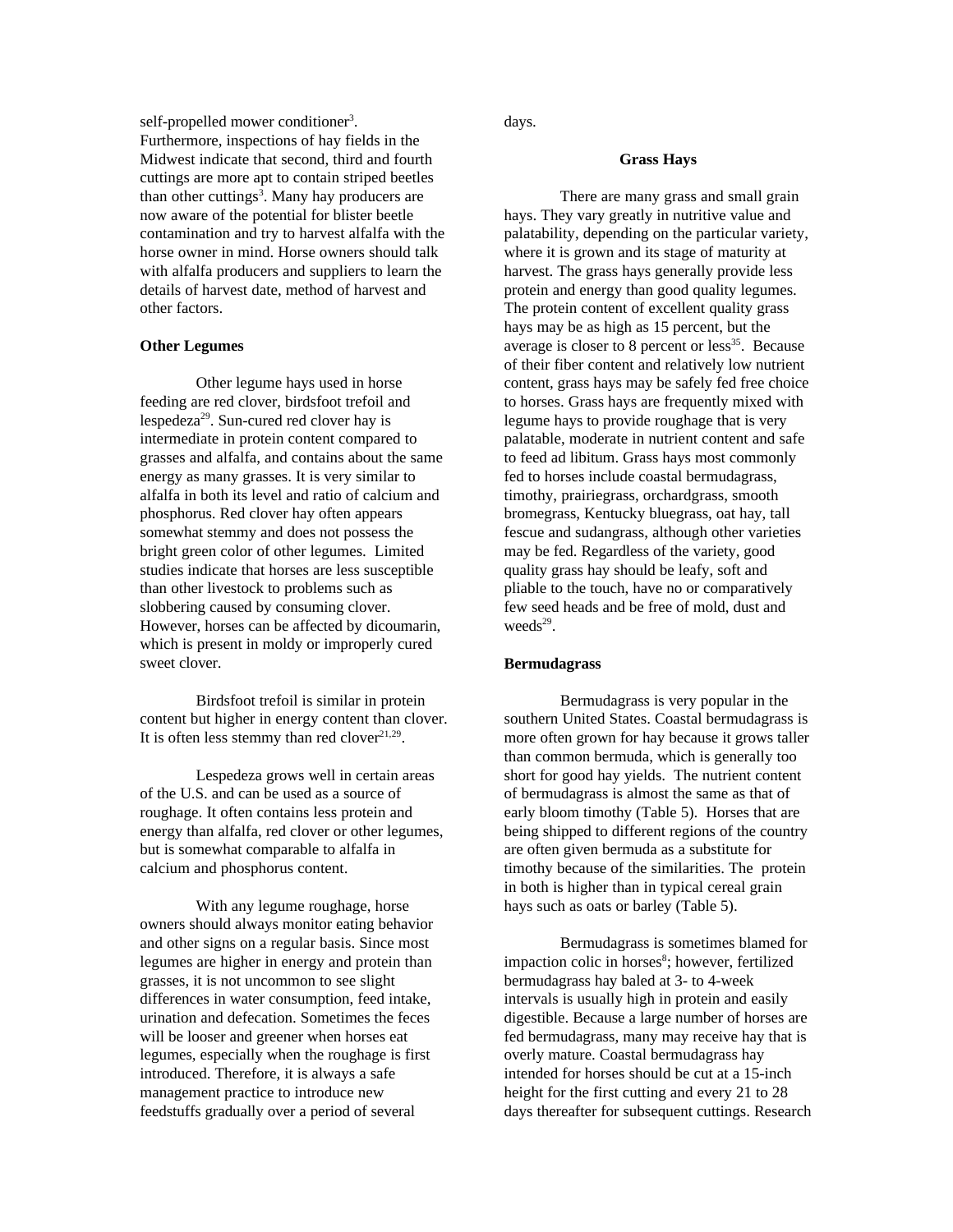self-propelled mower conditioner<sup>3</sup>. Furthermore, inspections of hay fields in the Midwest indicate that second, third and fourth cuttings are more apt to contain striped beetles than other cuttings<sup>3</sup>. Many hay producers are now aware of the potential for blister beetle contamination and try to harvest alfalfa with the horse owner in mind. Horse owners should talk with alfalfa producers and suppliers to learn the details of harvest date, method of harvest and other factors.

#### **Other Legumes**

Other legume hays used in horse feeding are red clover, birdsfoot trefoil and lespedeza<sup>29</sup>. Sun-cured red clover hay is intermediate in protein content compared to grasses and alfalfa, and contains about the same energy as many grasses. It is very similar to alfalfa in both its level and ratio of calcium and phosphorus. Red clover hay often appears somewhat stemmy and does not possess the bright green color of other legumes. Limited studies indicate that horses are less susceptible than other livestock to problems such as slobbering caused by consuming clover. However, horses can be affected by dicoumarin, which is present in moldy or improperly cured sweet clover.

Birdsfoot trefoil is similar in protein content but higher in energy content than clover. It is often less stemmy than red clover $2^{1,29}$ .

Lespedeza grows well in certain areas of the U.S. and can be used as a source of roughage. It often contains less protein and energy than alfalfa, red clover or other legumes, but is somewhat comparable to alfalfa in calcium and phosphorus content.

With any legume roughage, horse owners should always monitor eating behavior and other signs on a regular basis. Since most legumes are higher in energy and protein than grasses, it is not uncommon to see slight differences in water consumption, feed intake, urination and defecation. Sometimes the feces will be looser and greener when horses eat legumes, especially when the roughage is first introduced. Therefore, it is always a safe management practice to introduce new feedstuffs gradually over a period of several

days.

#### **Grass Hays**

There are many grass and small grain hays. They vary greatly in nutritive value and palatability, depending on the particular variety, where it is grown and its stage of maturity at harvest. The grass hays generally provide less protein and energy than good quality legumes. The protein content of excellent quality grass hays may be as high as 15 percent, but the average is closer to 8 percent or  $less<sup>35</sup>$ . Because of their fiber content and relatively low nutrient content, grass hays may be safely fed free choice to horses. Grass hays are frequently mixed with legume hays to provide roughage that is very palatable, moderate in nutrient content and safe to feed ad libitum. Grass hays most commonly fed to horses include coastal bermudagrass, timothy, prairiegrass, orchardgrass, smooth bromegrass, Kentucky bluegrass, oat hay, tall fescue and sudangrass, although other varieties may be fed. Regardless of the variety, good quality grass hay should be leafy, soft and pliable to the touch, have no or comparatively few seed heads and be free of mold, dust and weeds<sup>29</sup>.

#### **Bermudagrass**

Bermudagrass is very popular in the southern United States. Coastal bermudagrass is more often grown for hay because it grows taller than common bermuda, which is generally too short for good hay yields. The nutrient content of bermudagrass is almost the same as that of early bloom timothy (Table 5). Horses that are being shipped to different regions of the country are often given bermuda as a substitute for timothy because of the similarities. The protein in both is higher than in typical cereal grain hays such as oats or barley (Table 5).

Bermudagrass is sometimes blamed for impaction colic in horses<sup>8</sup>; however, fertilized bermudagrass hay baled at 3- to 4-week intervals is usually high in protein and easily digestible. Because a large number of horses are fed bermudagrass, many may receive hay that is overly mature. Coastal bermudagrass hay intended for horses should be cut at a 15-inch height for the first cutting and every 21 to 28 days thereafter for subsequent cuttings. Research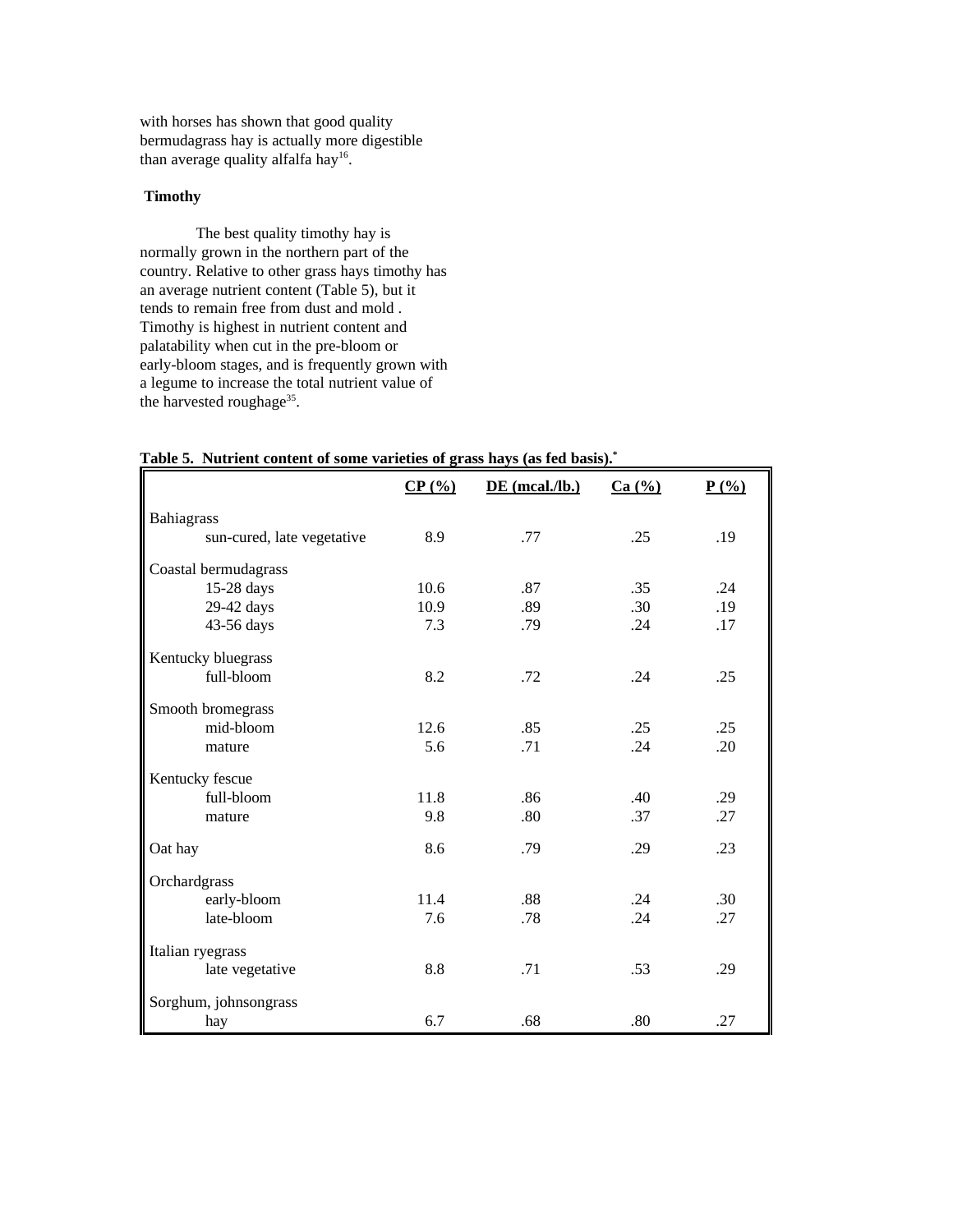with horses has shown that good quality bermudagrass hay is actually more digestible than average quality alfalfa hay<sup>16</sup>.

### **Timothy**

The best quality timothy hay is normally grown in the northern part of the country. Relative to other grass hays timothy has an average nutrient content (Table 5), but it tends to remain free from dust and mold . Timothy is highest in nutrient content and palatability when cut in the pre-bloom or early-bloom stages, and is frequently grown with a legume to increase the total nutrient value of the harvested roughage<sup>35</sup>.

|                            | CP(%) | $DE$ (mcal./lb.) | Ca (%) | P(%) |
|----------------------------|-------|------------------|--------|------|
| Bahiagrass                 |       |                  |        |      |
| sun-cured, late vegetative | 8.9   | .77              | .25    | .19  |
| Coastal bermudagrass       |       |                  |        |      |
| 15-28 days                 | 10.6  | .87              | .35    | .24  |
| 29-42 days                 | 10.9  | .89              | .30    | .19  |
| 43-56 days                 | 7.3   | .79              | .24    | .17  |
| Kentucky bluegrass         |       |                  |        |      |
| full-bloom                 | 8.2   | .72              | .24    | .25  |
| Smooth bromegrass          |       |                  |        |      |
| mid-bloom                  | 12.6  | .85              | .25    | .25  |
| mature                     | 5.6   | .71              | .24    | .20  |
| Kentucky fescue            |       |                  |        |      |
| full-bloom                 | 11.8  | .86              | .40    | .29  |
| mature                     | 9.8   | .80              | .37    | .27  |
| Oat hay                    | 8.6   | .79              | .29    | .23  |
| Orchardgrass               |       |                  |        |      |
| early-bloom                | 11.4  | .88              | .24    | .30  |
| late-bloom                 | 7.6   | .78              | .24    | .27  |
| Italian ryegrass           |       |                  |        |      |
| late vegetative            | 8.8   | .71              | .53    | .29  |
| Sorghum, johnsongrass      |       |                  |        |      |
| hay                        | 6.7   | .68              | .80    | .27  |

**Table 5. Nutrient content of some varieties of grass hays (as fed basis).\***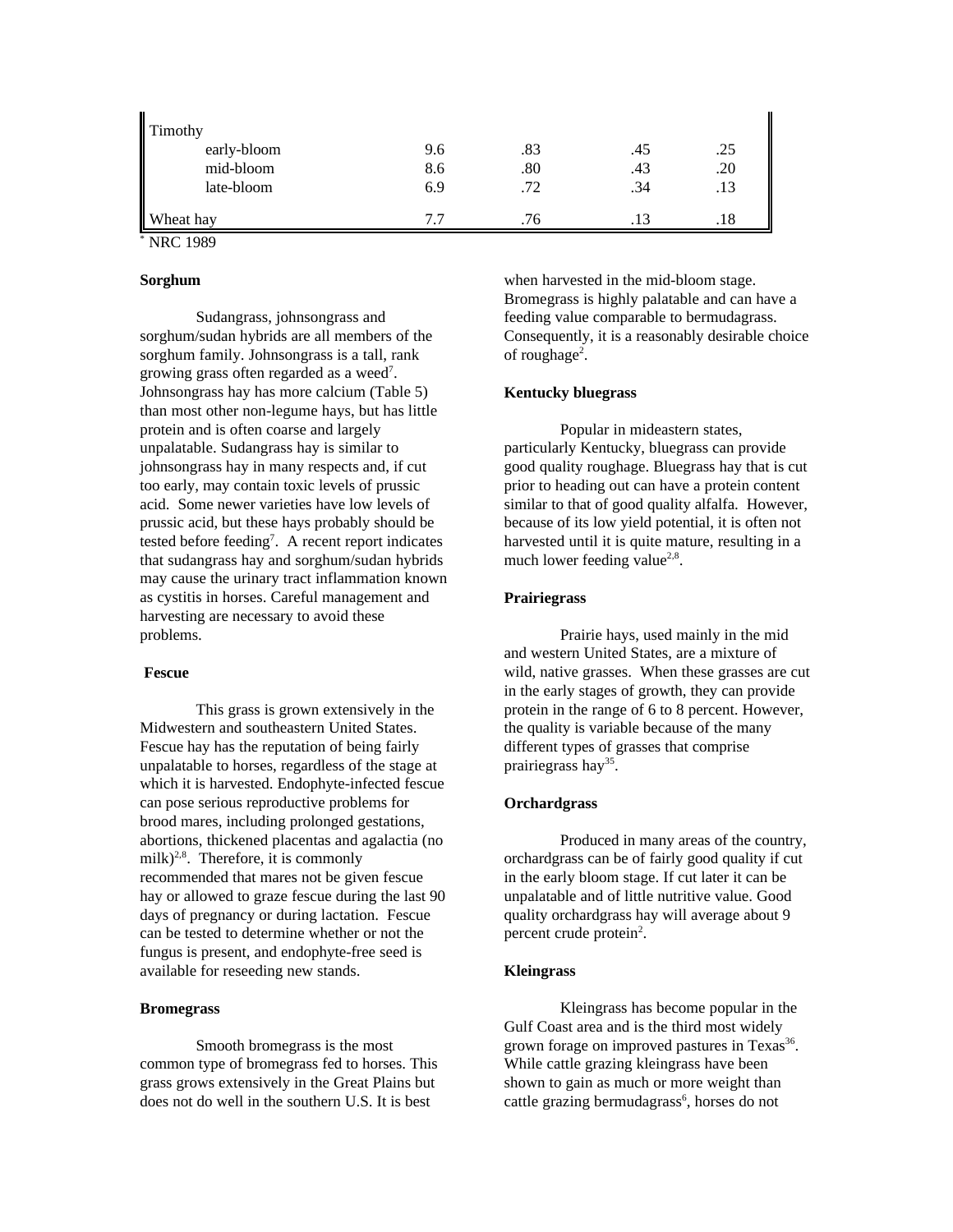| Timothy     |     |     |     |     |
|-------------|-----|-----|-----|-----|
| early-bloom | 9.6 | .83 | 45. | .25 |
| mid-bloom   | 8.6 | .80 | .43 | .20 |
| late-bloom  | 6.9 | .72 | .34 | .13 |
| Wheat hay   | 77  | .76 |     | .18 |

\* NRC 1989

### **Sorghum**

Sudangrass, johnsongrass and sorghum/sudan hybrids are all members of the sorghum family. Johnsongrass is a tall, rank growing grass often regarded as a weed<sup>7</sup>. Johnsongrass hay has more calcium (Table 5) than most other non-legume hays, but has little protein and is often coarse and largely unpalatable. Sudangrass hay is similar to johnsongrass hay in many respects and, if cut too early, may contain toxic levels of prussic acid. Some newer varieties have low levels of prussic acid, but these hays probably should be tested before feeding<sup>7</sup>. A recent report indicates that sudangrass hay and sorghum/sudan hybrids may cause the urinary tract inflammation known as cystitis in horses. Careful management and harvesting are necessary to avoid these problems.

#### **Fescue**

This grass is grown extensively in the Midwestern and southeastern United States. Fescue hay has the reputation of being fairly unpalatable to horses, regardless of the stage at which it is harvested. Endophyte-infected fescue can pose serious reproductive problems for brood mares, including prolonged gestations, abortions, thickened placentas and agalactia (no milk) $^{2,8}$ . Therefore, it is commonly recommended that mares not be given fescue hay or allowed to graze fescue during the last 90 days of pregnancy or during lactation. Fescue can be tested to determine whether or not the fungus is present, and endophyte-free seed is available for reseeding new stands.

### **Bromegrass**

Smooth bromegrass is the most common type of bromegrass fed to horses. This grass grows extensively in the Great Plains but does not do well in the southern U.S. It is best

when harvested in the mid-bloom stage. Bromegrass is highly palatable and can have a feeding value comparable to bermudagrass. Consequently, it is a reasonably desirable choice of roughage<sup>2</sup>.

### **Kentucky bluegrass**

Popular in mideastern states, particularly Kentucky, bluegrass can provide good quality roughage. Bluegrass hay that is cut prior to heading out can have a protein content similar to that of good quality alfalfa. However, because of its low yield potential, it is often not harvested until it is quite mature, resulting in a much lower feeding value<sup>2,8</sup>.

### **Prairiegrass**

Prairie hays, used mainly in the mid and western United States, are a mixture of wild, native grasses. When these grasses are cut in the early stages of growth, they can provide protein in the range of 6 to 8 percent. However, the quality is variable because of the many different types of grasses that comprise prairiegrass hay<sup>35</sup>.

#### **Orchardgrass**

Produced in many areas of the country, orchardgrass can be of fairly good quality if cut in the early bloom stage. If cut later it can be unpalatable and of little nutritive value. Good quality orchardgrass hay will average about 9 percent crude protein<sup>2</sup>.

#### **Kleingrass**

Kleingrass has become popular in the Gulf Coast area and is the third most widely grown forage on improved pastures in Texas<sup>36</sup>. While cattle grazing kleingrass have been shown to gain as much or more weight than cattle grazing bermudagrass<sup>6</sup>, horses do not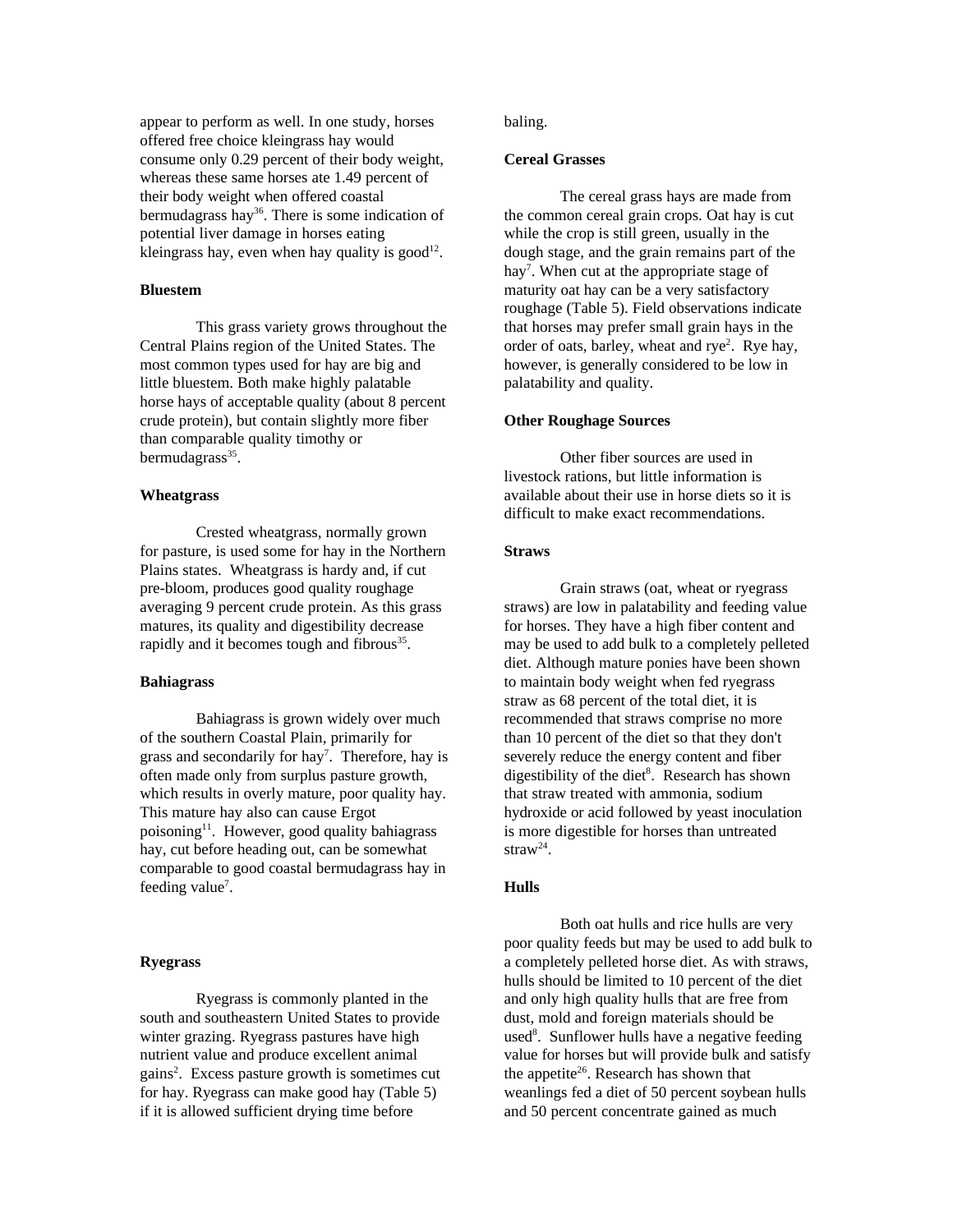appear to perform as well. In one study, horses offered free choice kleingrass hay would consume only 0.29 percent of their body weight, whereas these same horses ate 1.49 percent of their body weight when offered coastal bermudagrass hay<sup>36</sup>. There is some indication of potential liver damage in horses eating kleingrass hay, even when hay quality is  $\text{good}^{12}$ .

### **Bluestem**

This grass variety grows throughout the Central Plains region of the United States. The most common types used for hay are big and little bluestem. Both make highly palatable horse hays of acceptable quality (about 8 percent crude protein), but contain slightly more fiber than comparable quality timothy or bermudagrass<sup>35</sup>.

### **Wheatgrass**

Crested wheatgrass, normally grown for pasture, is used some for hay in the Northern Plains states. Wheatgrass is hardy and, if cut pre-bloom, produces good quality roughage averaging 9 percent crude protein. As this grass matures, its quality and digestibility decrease rapidly and it becomes tough and fibrous<sup>35</sup>.

#### **Bahiagrass**

Bahiagrass is grown widely over much of the southern Coastal Plain, primarily for grass and secondarily for hay<sup>7</sup>. Therefore, hay is often made only from surplus pasture growth, which results in overly mature, poor quality hay. This mature hay also can cause Ergot poisoning<sup>11</sup>. However, good quality bahiagrass hay, cut before heading out, can be somewhat comparable to good coastal bermudagrass hay in feeding value<sup>7</sup>.

#### **Ryegrass**

Ryegrass is commonly planted in the south and southeastern United States to provide winter grazing. Ryegrass pastures have high nutrient value and produce excellent animal gains<sup>2</sup>. Excess pasture growth is sometimes cut for hay. Ryegrass can make good hay (Table 5) if it is allowed sufficient drying time before

baling.

#### **Cereal Grasses**

The cereal grass hays are made from the common cereal grain crops. Oat hay is cut while the crop is still green, usually in the dough stage, and the grain remains part of the hay<sup>7</sup>. When cut at the appropriate stage of maturity oat hay can be a very satisfactory roughage (Table 5). Field observations indicate that horses may prefer small grain hays in the order of oats, barley, wheat and rye<sup>2</sup>. Rye hay, however, is generally considered to be low in palatability and quality.

### **Other Roughage Sources**

Other fiber sources are used in livestock rations, but little information is available about their use in horse diets so it is difficult to make exact recommendations.

### **Straws**

Grain straws (oat, wheat or ryegrass straws) are low in palatability and feeding value for horses. They have a high fiber content and may be used to add bulk to a completely pelleted diet. Although mature ponies have been shown to maintain body weight when fed ryegrass straw as 68 percent of the total diet, it is recommended that straws comprise no more than 10 percent of the diet so that they don't severely reduce the energy content and fiber digestibility of the diet<sup>8</sup>. Research has shown that straw treated with ammonia, sodium hydroxide or acid followed by yeast inoculation is more digestible for horses than untreated straw<sup>24</sup>.

#### **Hulls**

Both oat hulls and rice hulls are very poor quality feeds but may be used to add bulk to a completely pelleted horse diet. As with straws, hulls should be limited to 10 percent of the diet and only high quality hulls that are free from dust, mold and foreign materials should be used<sup>8</sup>. Sunflower hulls have a negative feeding value for horses but will provide bulk and satisfy the appetite<sup>26</sup>. Research has shown that weanlings fed a diet of 50 percent soybean hulls and 50 percent concentrate gained as much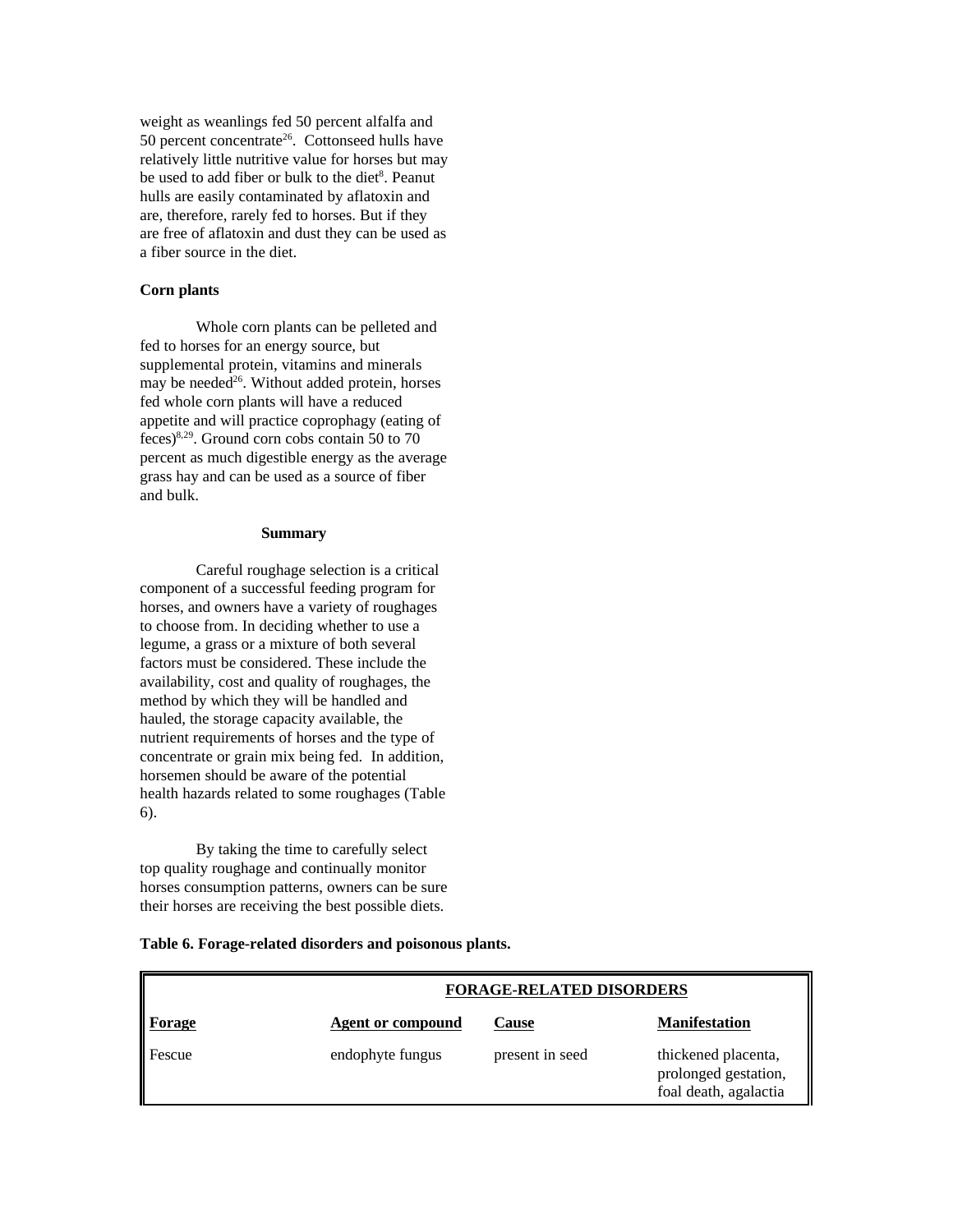weight as weanlings fed 50 percent alfalfa and 50 percent concentrate<sup>26</sup>. Cottonseed hulls have relatively little nutritive value for horses but may be used to add fiber or bulk to the diet<sup>8</sup>. Peanut hulls are easily contaminated by aflatoxin and are, therefore, rarely fed to horses. But if they are free of aflatoxin and dust they can be used as a fiber source in the diet.

### **Corn plants**

Whole corn plants can be pelleted and fed to horses for an energy source, but supplemental protein, vitamins and minerals may be needed<sup>26</sup>. Without added protein, horses fed whole corn plants will have a reduced appetite and will practice coprophagy (eating of feces)<sup>8,29</sup>. Ground corn cobs contain 50 to 70 percent as much digestible energy as the average grass hay and can be used as a source of fiber and bulk.

#### **Summary**

Careful roughage selection is a critical component of a successful feeding program for horses, and owners have a variety of roughages to choose from. In deciding whether to use a legume, a grass or a mixture of both several factors must be considered. These include the availability, cost and quality of roughages, the method by which they will be handled and hauled, the storage capacity available, the nutrient requirements of horses and the type of concentrate or grain mix being fed. In addition, horsemen should be aware of the potential health hazards related to some roughages (Table 6).

By taking the time to carefully select top quality roughage and continually monitor horses consumption patterns, owners can be sure their horses are receiving the best possible diets.

| Table 6. Forage-related disorders and poisonous plants. |  |  |  |
|---------------------------------------------------------|--|--|--|
|---------------------------------------------------------|--|--|--|

|        | <b>FORAGE-RELATED DISORDERS</b> |                 |                                                                      |  |
|--------|---------------------------------|-----------------|----------------------------------------------------------------------|--|
| Forage | <b>Agent or compound</b>        | <b>Cause</b>    | <b>Manifestation</b>                                                 |  |
| Fescue | endophyte fungus                | present in seed | thickened placenta,<br>prolonged gestation,<br>foal death, agalactia |  |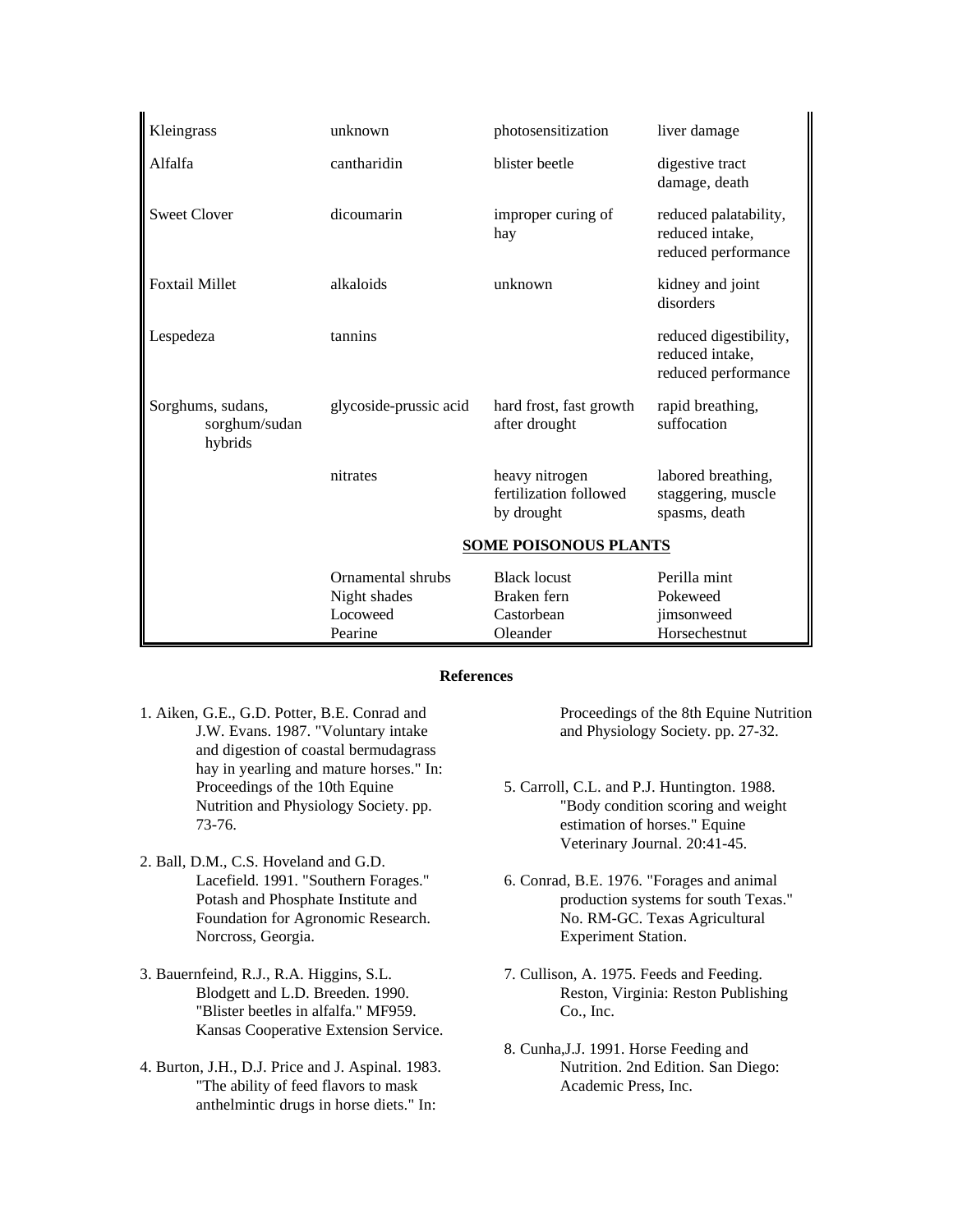| Kleingrass                                    | unknown                           | photosensitization                                     | liver damage                                                     |
|-----------------------------------------------|-----------------------------------|--------------------------------------------------------|------------------------------------------------------------------|
| Alfalfa                                       | cantharidin                       | blister beetle                                         | digestive tract<br>damage, death                                 |
| <b>Sweet Clover</b>                           | dicoumarin                        | improper curing of<br>hay                              | reduced palatability,<br>reduced intake,<br>reduced performance  |
| <b>Foxtail Millet</b>                         | alkaloids                         | unknown                                                | kidney and joint<br>disorders                                    |
| Lespedeza                                     | tannins                           |                                                        | reduced digestibility,<br>reduced intake,<br>reduced performance |
| Sorghums, sudans,<br>sorghum/sudan<br>hybrids | glycoside-prussic acid            | hard frost, fast growth<br>after drought               | rapid breathing,<br>suffocation                                  |
|                                               | nitrates                          | heavy nitrogen<br>fertilization followed<br>by drought | labored breathing,<br>staggering, muscle<br>spasms, death        |
|                                               |                                   | <b>SOME POISONOUS PLANTS</b>                           |                                                                  |
|                                               | Ornamental shrubs<br>Night shades | <b>Black locust</b><br>Braken fern                     | Perilla mint<br>Pokeweed                                         |
|                                               | Locoweed                          | Castorbean                                             | jimsonweed                                                       |
|                                               | Pearine                           | Oleander                                               | Horsechestnut                                                    |

#### **References**

- 1. Aiken, G.E., G.D. Potter, B.E. Conrad and J.W. Evans. 1987. "Voluntary intake and digestion of coastal bermudagrass hay in yearling and mature horses." In: Proceedings of the 10th Equine Nutrition and Physiology Society. pp. 73-76.
- 2. Ball, D.M., C.S. Hoveland and G.D. Lacefield. 1991. "Southern Forages." Potash and Phosphate Institute and Foundation for Agronomic Research. Norcross, Georgia.
- 3. Bauernfeind, R.J., R.A. Higgins, S.L. Blodgett and L.D. Breeden. 1990. "Blister beetles in alfalfa." MF959. Kansas Cooperative Extension Service.
- 4. Burton, J.H., D.J. Price and J. Aspinal. 1983. "The ability of feed flavors to mask anthelmintic drugs in horse diets." In:

Proceedings of the 8th Equine Nutrition and Physiology Society. pp. 27-32.

- 5. Carroll, C.L. and P.J. Huntington. 1988. "Body condition scoring and weight estimation of horses." Equine Veterinary Journal. 20:41-45.
- 6. Conrad, B.E. 1976. "Forages and animal production systems for south Texas." No. RM-GC. Texas Agricultural Experiment Station.
- 7. Cullison, A. 1975. Feeds and Feeding. Reston, Virginia: Reston Publishing Co., Inc.
- 8. Cunha,J.J. 1991. Horse Feeding and Nutrition. 2nd Edition. San Diego: Academic Press, Inc.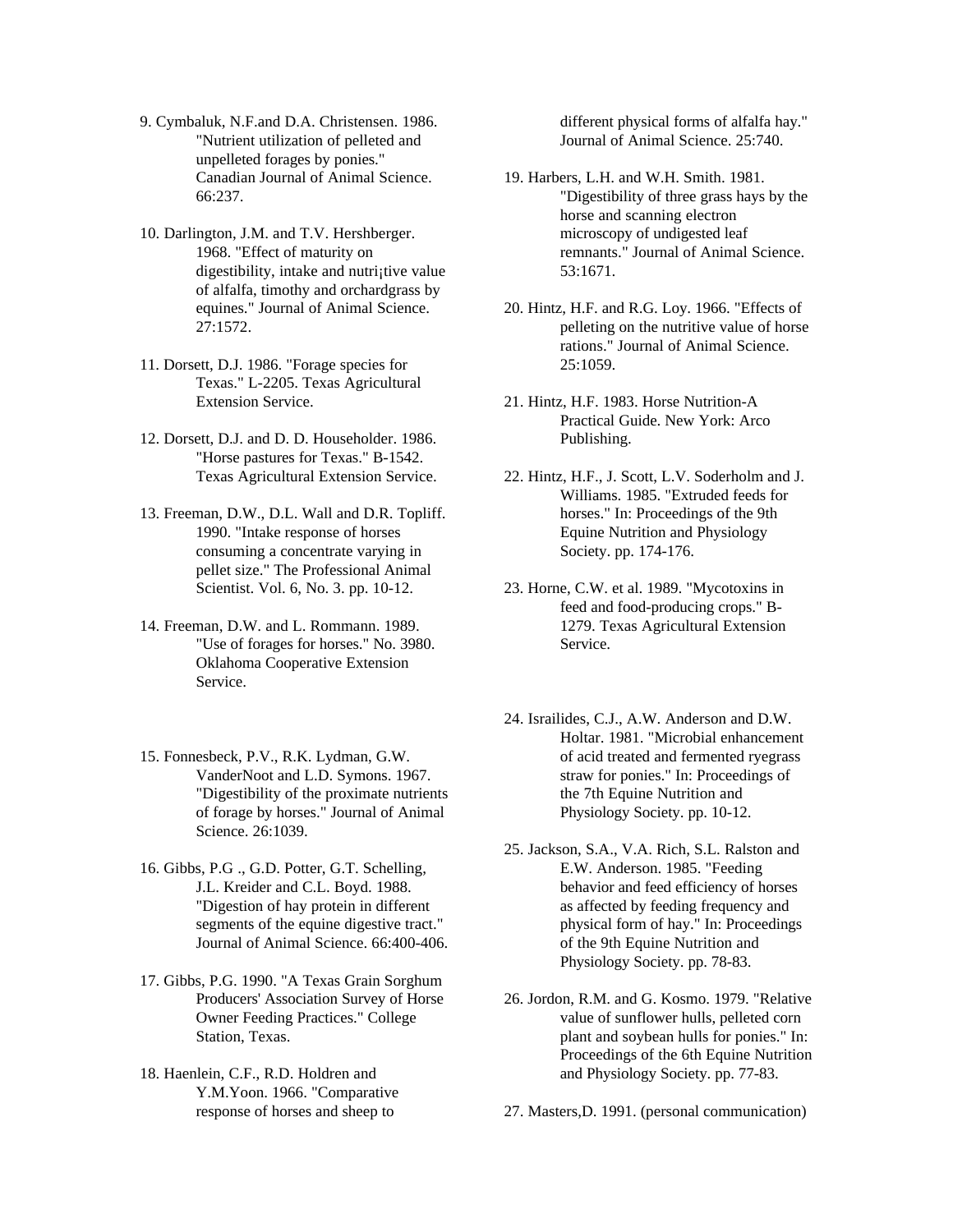- 9. Cymbaluk, N.F.and D.A. Christensen. 1986. "Nutrient utilization of pelleted and unpelleted forages by ponies." Canadian Journal of Animal Science. 66:237.
- 10. Darlington, J.M. and T.V. Hershberger. 1968. "Effect of maturity on digestibility, intake and nutri; tive value of alfalfa, timothy and orchardgrass by equines." Journal of Animal Science. 27:1572.
- 11. Dorsett, D.J. 1986. "Forage species for Texas." L-2205. Texas Agricultural Extension Service.
- 12. Dorsett, D.J. and D. D. Householder. 1986. "Horse pastures for Texas." B-1542. Texas Agricultural Extension Service.
- 13. Freeman, D.W., D.L. Wall and D.R. Topliff. 1990. "Intake response of horses consuming a concentrate varying in pellet size." The Professional Animal Scientist. Vol. 6, No. 3. pp. 10-12.
- 14. Freeman, D.W. and L. Rommann. 1989. "Use of forages for horses." No. 3980. Oklahoma Cooperative Extension Service.
- 15. Fonnesbeck, P.V., R.K. Lydman, G.W. VanderNoot and L.D. Symons. 1967. "Digestibility of the proximate nutrients of forage by horses." Journal of Animal Science. 26:1039.
- 16. Gibbs, P.G ., G.D. Potter, G.T. Schelling, J.L. Kreider and C.L. Boyd. 1988. "Digestion of hay protein in different segments of the equine digestive tract." Journal of Animal Science. 66:400-406.
- 17. Gibbs, P.G. 1990. "A Texas Grain Sorghum Producers' Association Survey of Horse Owner Feeding Practices." College Station, Texas.
- 18. Haenlein, C.F., R.D. Holdren and Y.M.Yoon. 1966. "Comparative response of horses and sheep to

different physical forms of alfalfa hay." Journal of Animal Science. 25:740.

- 19. Harbers, L.H. and W.H. Smith. 1981. "Digestibility of three grass hays by the horse and scanning electron microscopy of undigested leaf remnants." Journal of Animal Science. 53:1671.
- 20. Hintz, H.F. and R.G. Loy. 1966. "Effects of pelleting on the nutritive value of horse rations." Journal of Animal Science. 25:1059.
- 21. Hintz, H.F. 1983. Horse Nutrition-A Practical Guide. New York: Arco Publishing.
- 22. Hintz, H.F., J. Scott, L.V. Soderholm and J. Williams. 1985. "Extruded feeds for horses." In: Proceedings of the 9th Equine Nutrition and Physiology Society. pp. 174-176.
- 23. Horne, C.W. et al. 1989. "Mycotoxins in feed and food-producing crops." B-1279. Texas Agricultural Extension Service.
- 24. Israilides, C.J., A.W. Anderson and D.W. Holtar. 1981. "Microbial enhancement of acid treated and fermented ryegrass straw for ponies." In: Proceedings of the 7th Equine Nutrition and Physiology Society. pp. 10-12.
- 25. Jackson, S.A., V.A. Rich, S.L. Ralston and E.W. Anderson. 1985. "Feeding behavior and feed efficiency of horses as affected by feeding frequency and physical form of hay." In: Proceedings of the 9th Equine Nutrition and Physiology Society. pp. 78-83.
- 26. Jordon, R.M. and G. Kosmo. 1979. "Relative value of sunflower hulls, pelleted corn plant and soybean hulls for ponies." In: Proceedings of the 6th Equine Nutrition and Physiology Society. pp. 77-83.

27. Masters,D. 1991. (personal communication)